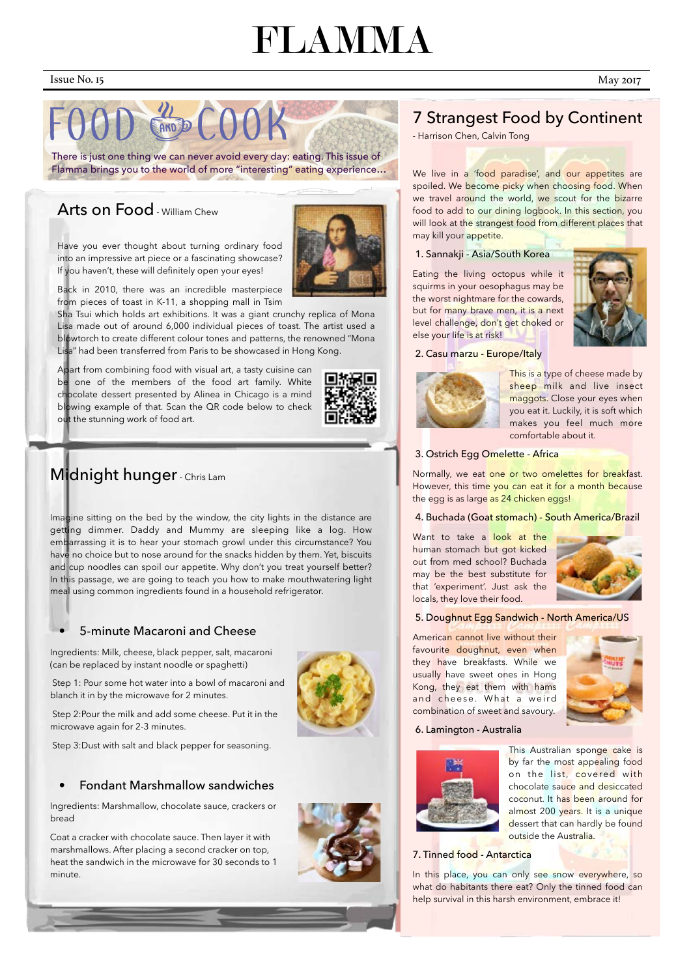## FLAMMA

# AND DIE

Imagine sitting on the bed by the window, the city lights in the distance are getting dimmer. Daddy and Mummy are sleeping like a log. How embarrassing it is to hear your stomach growl under this circumstance? You have no choice but to nose around for the snacks hidden by them. Yet, biscuits and cup noodles can spoil our appetite. Why don't you treat yourself better? In this passage, we are going to teach you how to make mouthwatering light meal using common ingredients found in a household refrigerator.

#### • 5-minute Macaroni and Cheese

Ingredients: Milk, cheese, black pepper, salt, macaroni (can be replaced by instant noodle or spaghetti)

Step 1: Pour some hot water into a bowl of macaroni and blanch it in by the microwave for 2 minutes.

Step 2:Pour the milk and add some cheese. Put it in the microwave again for 2-3 minutes.



#### Step 3:Dust with salt and black pepper for seasoning.

#### • Fondant Marshmallow sandwiches

Ingredients: Marshmallow, chocolate sauce, crackers or bread

Coat a cracker with chocolate sauce. Then layer it with marshmallows. After placing a second cracker on top, heat the sandwich in the microwave for 30 seconds to 1 minute.





This Australian sponge cake is by far the most appealing food on the list, covered with chocolate sauce and desiccated coconut. It has been around for almost 200 years. It is a unique dessert that can hardly be found outside the Australia.

We live in a 'food paradise', and our appetites are spoiled. We become picky when choosing food. When we travel around the world, we scout for the bizarre food to add to our dining logbook. In this section, you will look at the strangest food from different places that may kill your appetite.

Have you ever thought about turning ordinary food into an impressive art piece or a fascinating showcase? If you haven't, these will definitely open your eyes!



This is a type of cheese made by sheep milk and live insect maggots. Close your eyes when you eat it. Luckily, it is soft which makes you feel much more comfortable about it.

Back in 2010, there was an incredible masterpiece from pieces of toast in K-11, a shopping mall in Tsim

Sha Tsui which holds art exhibitions. It was a giant crunchy replica of Mona Lisa made out of around 6,000 individual pieces of toast. The artist used a blowtorch to create different colour tones and patterns, the renowned "Mona Lisa" had been transferred from Paris to be showcased in Hong Kong.

Apart from combining food with visual art, a tasty cuisine can be one of the members of the food art family. White chocolate dessert presented by Alinea in Chicago is a mind blowing example of that. Scan the QR code below to check out the stunning work of food art.

## Midnight hunger - Chris Lam

In this place, you can only see snow everywhere, so what do habitants there eat? Only the tinned food can help survival in this harsh environment, embrace it!

## 7 Strangest Food by Continent

- Harrison Chen, Calvin Tong

#### 1. Sannakji - Asia/South Korea

Eating the living octopus while it squirms in your oesophagus may be the worst nightmare for the cowards, but for many brave men, it is a next level challenge, don't get choked or else your life is at risk!



#### 2. Casu marzu - Europe/Italy



#### 3. Ostrich Egg Omelette - Africa

Normally, we eat one or two omelettes for breakfast. However, this time you can eat it for a month because the egg is as large as 24 chicken eggs!

#### 4. Buchada (Goat stomach) - South America/Brazil

Want to take a look at the human stomach but got kicked out from med school? Buchada may be the best substitute for that 'experiment'. Just ask the locals, they love their food.



#### 5. Doughnut Egg Sandwich - North America/US

American cannot live without their favourite doughnut, even when they have breakfasts. While we usually have sweet ones in Hong Kong, they eat them with hams and cheese. What a weird combination of sweet and savoury.



6. Lamington - Australia

#### 7. Tinned food - Antarctica

There is just one thing we can never avoid every day: eating. This issue of Flamma brings you to the world of more "interesting" eating experience…

## Arts on Food - William Chew